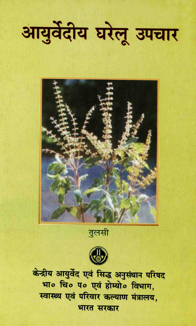







केन्द्रीय आयुर्वेद एवं सिद्ध अनुसंधान परिषद भा० चि० प० एवं होम्यो० विभाग, स्वास्थ्य एवं परिवार कल्याण मंत्रालय, भारत सरकार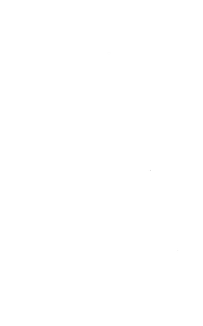$\alpha$  ,  $\alpha$  ,  $\alpha$  ,  $\alpha$  ,  $\alpha$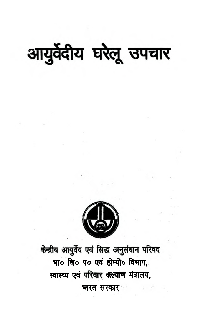# आयुर्वेदीय घरेलू उपचार



केन्द्रीय आयुर्वेद एवं सिद्ध अनुसंधान परिषद भा० चि० प० एवं होम्यो० विभाग, स्वास्थ्य एवं परिवार कल्याण मंत्रालय, भारत सरकार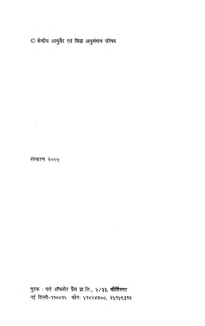© केन्द्रीय आयुर्वेद एवं सिद्ध अनुसंधान परिषद

संस्करण २००५

मुद्रक : पर्ल ऑफसेट प्रैस प्रा.लि., ५/३३, कीर्तिनगर ँ<br>नई दिल्ली-११००१५ फोनः ५१४२४७००, २५१५€३१२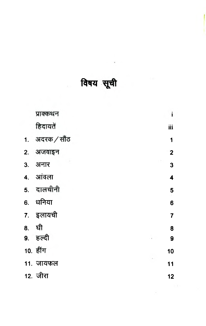विषय**्सूची** 

|    | प्राक्कथन      | i                       |
|----|----------------|-------------------------|
|    | हिदायतें       | iii                     |
|    | 1. अदरक / सौंठ | 1                       |
| 2. | अजवाइन         | $\overline{\mathbf{2}}$ |
|    | 3. अनार        | 3                       |
|    | 4. आंवला       | 4                       |
|    | 5. दालचीनी     | 5                       |
|    | 6. धनिया       | 6                       |
|    | 7. इलायची      | 7                       |
| 8. | ्घी            | 8                       |
|    | 9. हल्दी       | 9                       |
|    | 10. हींग       | 10                      |
|    | 11. जायफल      | 11                      |
|    | 12. जीरा       | 12 <sub>2</sub>         |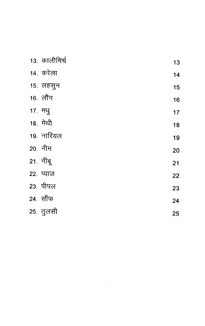| 13. कालीमिर्च | 13 |
|---------------|----|
| 14. करेला     | 14 |
| 15. लहसुन     | 15 |
| 16. लौंग      | 16 |
| 17. मधु       | 17 |
| 18. मेथी      | 18 |
| 19. नारियल    | 19 |
| 20. नीम       | 20 |
| 21. नींबू     | 21 |
| 22. प्याज     | 22 |
| 23. पीपल      | 23 |
| 24. सौंफ      | 24 |
| 25. तुलसी     | 25 |
|               |    |

 $\sim$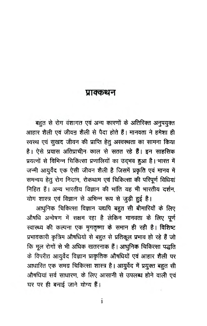#### प्राक्कथन

बहुत से रोग वंशागत एवं अन्य कारणों के अतिरिक्त अनुपयूक्त आहार शैली एवं जीवन शैली से पैदा होते हैं। मानवता ने हमेशा ही स्वस्थ एवं सुखद जीवन की प्राप्ति हेतु अस्वस्थता का सामना किया है। ऐसे प्रयास अतिप्राचीन काल से सतत रहे हैं। इन साहसिक प्रयत्नों से विभिन्न चिकित्सा प्रणालियों का उदभव हुआ है। भारत में जन्मी आयुर्वेद एक ऐसी जीवन शैली है जिसमें प्रकृति एवं मानव में समन्वय हेतु रोग निदान, रोकथाम एवं चिकित्सा की परिपूर्ण विधियां निहित हैं। अन्य भारतीय विज्ञान की भांति यह भी भारतीय दर्शन योग शास्त्र एवं विज्ञान से अभिन्न रूप से जुड़ी हुई है।

आधुनिक चिकित्सा विज्ञान यद्यपि बहुत सी बीमारियों के लिए औषधि अन्वेषण में सक्षम रहा है लेकिन मानवता के लिए पूर्ण स्वास्थ्य की कल्पना एक मृगतृष्णा के समान ही रही है। विशिष्ट प्रभावकारी कृत्रिम औषधियों से बहुत से प्रतिकूल प्रभाव हो रहे हैं जो कि मूल रोगों से भी अधिक खतरनाक हैं। आधुनिक चिकित्सा पद्धति के विपरीत आयुर्वेद विज्ञान प्राकृतिक औषधियों एवं आहार शैली पर आधारित एक समग्र चिकित्सा शास्त्र है। आयुर्वेद में प्रयुक्त बहुत सी औषधियां सर्व साधारण, के लिए आसानी से उपलब्ध होने वाली एवं घर पर ही बनाई जाने योग्य हैं।

 $\mathbf{i}$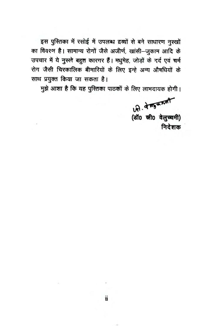इस पुस्तिका में रसोई में उपलब्ध द्रव्यों से बने साधारण नुस्खों का विवरण है। सामान्य रोगों जैसे अजीर्ण, खांसी-जुकाम आदि के उपचार में ये नुस्खे बहुत कारगर हैं। मधुमेह, जोड़ों के दर्द एवं चर्म रोग जैसी चिरकालिक बीमारियों के लिए इन्हे अन्य औषधियों के साथ प्रयुक्त किया जा सकता है।

मुझे आशा है कि यह पुस्तिका पाठकों के लिए लाभदायक होगी।

LA. dramat (डॉ0 जी0 वेलुच्चमी) निदेशक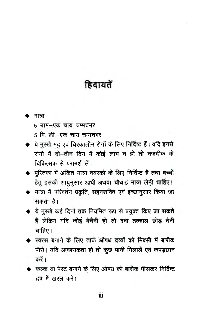#### हिदायतें

मात्रा

5 ग्राम-एक चाय चम्मचभर

5 मि. ली.-एक चाय चम्मचभर

- ▶ ये नुस्खे मुद् एवं चिरकालीन रोगों के लिए निर्दिष्ट हैं। यदि इनसे रोगी में दो-तीन दिन में कोई लाभ न हो तो नजदीक के चिकित्सक से परामर्श लैं।
- पुरितका में अंकित मात्रा वयस्कों के लिए निर्दिष्ट है तथा बच्चों हेतु इसकी आयुनुसार आधी अथवा चौथाई मात्रा लेनी चाहिए।
- ▶ मात्रा में परिवर्तन प्रकृति, सहनशक्ति एवं इच्छानुसार किया जा सकता है।
- ये नुस्खे कई दिनों तक नियमित रूप से प्रयुक्त किए जा सकते हैं लेकिन यदि कोई बेचैनी हो तो दवा तत्काल छोड़ देनी चाहिए।
- ▶ स्वरस बनाने के लिए ताजे औषध द्रव्यों को मिक्सी में बारीक पीसे। यदि आवश्यकता हो तो कुछ पानी मिलालें एवं कपड़छान करें।
- ◆ कल्क या पेस्ट बनाने के लिए औषध को बारीक पीसकर निर्दिष्ट द्रव में खरल करें।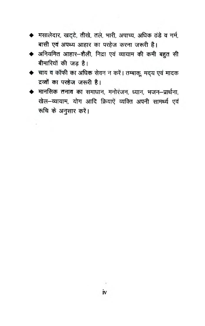- ▶ मसालेदार, खट्टे, तीखे, तले, भारी, अपाच्य, अधिक ठंडे व गर्म, बासी एवं अपथ्य आहार का परहेज करना जरूरी है।
- ▶ अनियमित आहार—शैली, निद्रा एवं व्यायाम की कमी बहुत सी बीमारियों की जड़ है।
- ▶ चाय व कॉफी का अधिक सेवन न करें। तम्बाकू, मदय एवं मादक द्रव्यों का परहेज जरूरी है।
- ♦ मानसिक तनाव का समाधान, मनोरंजन, ध्यान, भजन—प्रार्थना, खेल-व्यायाम, योग आदि क्रियाएँ व्यक्ति अपनी सामर्थ्य एवं रूचि के अनुसार करें।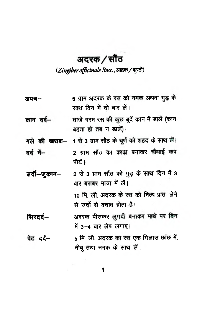# अदरक / सौंठ

(Zingiber officinale Rosc., आद्रक / शुण्ठी)

| अपच-         | 5 ग्राम अदरक के रस को नमक अथवा गुड़ के<br>साथ दिन में दो बार लें।       |
|--------------|-------------------------------------------------------------------------|
| कान दर्द-    | ताजे गरम रस की कुछ बूदें कान में डालें (कान<br>बहता हो तब न डालें)।     |
| गले की खराश— | 1 से 3 ग्राम सौंठ के चूर्ण को शहद के साथ लें।                           |
| दर्द में-    | 2 ग्राम सौंठ का काढ़ा बनाकर चौथाई कप<br>पीयें ।                         |
| सर्दी–जुकाम– | 2 से 3 ग्राम सौंठ को गुड़ के साथ दिन में 3<br>बार बराबर मात्रा में लें। |
|              | 10 मि. ली. अदरक के रस को नित्य प्रातः लेने<br>से सर्दी से बचाव होता है। |
| सिरदर्द–     | अदरक पीसकर लुगदी बनाकर माथे पर दिन<br>में 3-4 बार लेप लगाए।             |
| पेट दर्द-    | 5 मि. ली. अदरक का रस एक गिलास छांछ में,<br>नीबू तथा नमक के साथ लें।     |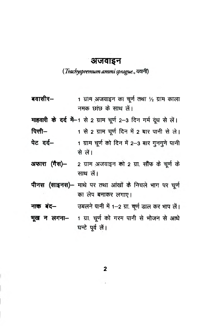#### **S T u T W T**

#### *(Trachyspremum ammi sprague.,*

- **बवासीर- विंग को बांग को बांग की बांग बे** बांग भार काला  $\vec{a}$   $\vec{b}$   $\vec{c}$   $\vec{d}$   $\vec{b}$   $\vec{d}$   $\vec{b}$   $\vec{d}$   $\vec{b}$   $\vec{d}$   $\vec{b}$
- Hहवारी के दर्द में-1 से 2 ग्राम चूर्ण 2-3 दिन गर्म दूध से लें।
- पित्ती- 1 से 2 ग्राम चूर्ण दिन में 2 बार पानी से ले।
- पेट दर्द- $1$  ग्राम चूर्ण को दिन में 2-3 बार गुनगुने पानी से लें।
- अफारा (गैस)- 2 ग्राम अजवाइन को 2 ग्रा. सौंफ के चूर्ण के साथ लें।
- पीनस (साइनस)- माथे पर तथा आंखों के निचले भाग पर चुर्ण का लेप बनाकर लगाए।
- **नाक बंद—** उबलने पानी में 1—2 ग्रा. चूर्ण डाल कर भाप लें।
- भूख न लगना- 1 ग्रा. चूर्ण को गरम पानी से भोजन से आधे घन्टे पूर्व लें।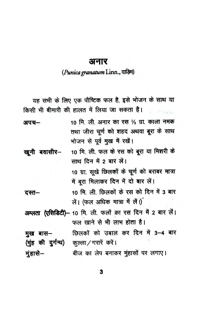#### अनार

# (Punica granatum Linn., दाड़िम)

|                      | यह सभी के लिए एक पौष्टिक फल है, इसे भोजन के साथ या                                                                                                        |
|----------------------|-----------------------------------------------------------------------------------------------------------------------------------------------------------|
|                      | किसी भी बीमारी की हालत में लिया जा सकता है।                                                                                                               |
| अपच–                 | 10 मि. ली. अनार का रस ½ ग्रा. काला नमक<br>तथा जीरा चूर्ण को शहद अथवा बूरा के साथ<br>भोजन से पूर्व मुख में रखें।                                           |
| खूनी बवासीर–         | 10 मि. ली. फल के रस को बूरा या मिशरी के<br>साथ दिन में 2 बार लें।<br>10 ग्रा. सूखे छिलकों के चूर्ण को बराबर मात्रा<br>में बूरा मिलाकर दिन में दो बार लें। |
| दस्त—                | 10 मि. ली. छिलकों के रस को दिन में 3 बार<br>लें। (फल अधिक मात्रा में लें।)                                                                                |
|                      | अम्लता (एसिडिटी)- 10 मि. ली. फलों का रस दिन में 2 बार लें।<br>फल खाने से भी लाभ होता है।                                                                  |
| मुख बास—<br>मुंहासे— | छिलकों को उबाल कर दिन में 3-4 बार<br>(मुंह की दुर्गन्ध) कुल्ला/गरारें करें।<br>बीज का लेप बनाकर मुंहासों पर लगाए।                                         |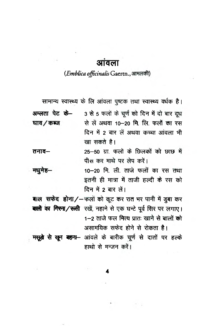### आंवला

(Emblica officinalis Gaertn., आमलकी)

|                                                                       | सामान्य स्वास्थ्य के लि आंवला पुष्टक तथा स्वास्थ्य वर्धक है। |  |
|-----------------------------------------------------------------------|--------------------------------------------------------------|--|
| अम्लता पेट के-                                                        | 3 से 5 फलों के चूर्ण को दिन में दो बार दूध                   |  |
| घाव / कब्ज                                                            | से लें अथवा 10-20 मि. लि. फलों का रस                         |  |
|                                                                       | दिन में 2 बार लें अथवा कच्चा आंवला भी                        |  |
|                                                                       | खा सकते है।                                                  |  |
| तनाव–                                                                 | 25–50 ग्रा. फलों के छिलकों को छाछ में                        |  |
|                                                                       | पीस कर माथे पर लेप करें।                                     |  |
| मधुमेह–                                                               | 10–20 मि. ली. ताजे फलों का रस तथा                            |  |
|                                                                       | इतनी ही मात्रा में ताजी हल्दी के रस को                       |  |
|                                                                       | दिन में 2 बार लें।                                           |  |
| बाल सफेद होना/-फलों को कूट कर रात भर पानी में डुबा कर                 |                                                              |  |
| <b>बालों का गिरना/रूसी</b> रखें, नहाने से एक घन्टे पूर्व सिर पर लगाए। |                                                              |  |
|                                                                       | 1–2 ताजे फल मित्य प्रातः खाने से बालों को                    |  |
|                                                                       | असामयिक सफेद होने से रोकता है।                               |  |
|                                                                       | मसूख़े से खून बहना- आंवले के बारीक चूर्ण से दातों पर हल्के   |  |
|                                                                       | हाथो से मन्जन करें।                                          |  |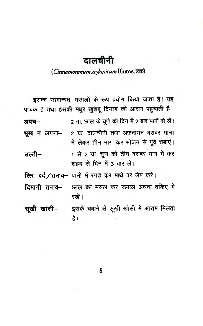#### दालचीनी

#### (Cinnamonmum zeylanicum Blume, त्वक)

|        | इसका सामान्यतः मसालों के रूप प्रयोग किया जाता है। यह<br>पाचक है तथा इसकी मधुर खुशबू दिमाग को आराम पहुंचाती है। |
|--------|----------------------------------------------------------------------------------------------------------------|
| अपच-   | 2 ग्रा. छाल के चूर्ण को दिन में 2 बार पानी से लें।                                                             |
|        | भूख न लगना- 2 ग्रा. दालचीनी तथा अजवायन बराबर मात्रा<br>में लेकर तीन भाग कर भोजन से पूर्व चबाएं।                |
| उल्टी− | 1 से 2 ग्रा. चूर्ण को तीन बराबर भाग में कर<br>शहद से दिन में 3 बार ले।                                         |
|        | सिर दर्द/तनाव- पानी में रगड़ कर माथे पर लेप करे।                                                               |
|        | दिमागी तनाव- छाल को मसल कर रूमाल अथवा तकिए में<br>रखें।                                                        |
|        | सूखी खांसी- इसके चबाने से सूखी खांसी में आराम मिलता<br>है ।                                                    |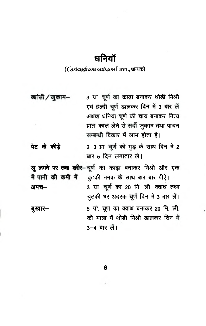### धनियाँ

#### (Coriandrum sativum Linn., धान्यक)

| 3 ग्रा. चूर्ण का काढ़ा बनाकर थोड़ी मिश्री<br>एवं हल्दी चूर्ण डालकर दिन में 3 बार लें<br>अथवा धनिया चूर्ण की चाय बनाकर नित्य<br>प्रातः काल लेने से सर्दी जुकाम तथा पाचन<br>सम्बन्धी विकार में लाभ होता है। |
|-----------------------------------------------------------------------------------------------------------------------------------------------------------------------------------------------------------|
| 2-3 ग्रा. चूर्ण को गुड़ के साथ दिन में 2<br>बार 5 दिन लगातार ले।                                                                                                                                          |
| लू लगने पर तथा जरीर--चूर्ण का काढ़ा बनाकर मिश्री और एक                                                                                                                                                    |
| चूटकी नमक के साथ बार बार पीऐ।                                                                                                                                                                             |
| 3 ग्रा. चूर्ण का 20 मि. ली. क्वाथ तथा<br>चूटकी भर अदरक चूर्ण दिन में 3 बार लें।                                                                                                                           |
| 5 ग्रां. चूर्ण का क्वाथ बनाकर 20 मि. ली.<br>की मात्रा में थोड़ी मिश्री डालकर दिन में<br>3-4 बार लें।                                                                                                      |
|                                                                                                                                                                                                           |

6

 $\begin{array}{c} \end{array}$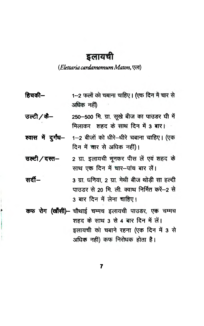# **हलायची**<br>(*Elettaria cardamomum Maton*, एला)

| हिचकी—             | 1-2 फलों को चबाना चाहिए। (एक दिन में चार से<br>अधिक नहीं)                                                                                                          |
|--------------------|--------------------------------------------------------------------------------------------------------------------------------------------------------------------|
| उल्टी ∕ कै–        | 250—500 मि. ग्रा. सूखे बीज का पाउंडर घी में<br>मिलाकर शहद के साथ दिन में 3 बार।                                                                                    |
| श्वास में दुर्गंध– | 1--2 बीजों को धीरे—धीरे चबाना चाहिए। (एक<br>दिन में चार से अधिक नहीं)।                                                                                             |
| उल्टी / दस्त $-$   | 2 ग्रा. इलायची भूनकर पीस लें एवं शहद के<br>साथ एक दिन में चार–पांच बार लें।                                                                                        |
| सर्दी–             | 3 ग्रा. धनिया, 2 ग्रा. मेथी बीज थोड़ी सा हल्दी<br>पाउडर से 20 मि. ली. क्वाथ निर्मित करें—2 से<br>3 बार दिन में लेना चाहिए।                                         |
|                    | कफ रोग (खाँसी)– चौथाई चम्मच इलायची पाउडर, एक चम्मच<br>शहद के साथ 3 से 4 बार दिन में लें।<br>इलायची को चबाने रहना (एक दिन में 3 से<br>अधिक नहीं) कफ निरोधक होता है। |
|                    |                                                                                                                                                                    |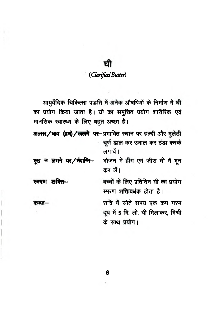# ंदी<br>(*Clarified Butter*)

ł

| मानसिक स्वास्थ्य के लिए बहुत अच्छा है। | आयुर्वेदिक चिकित्सा पद्धति में अनेक औषधियों के निर्माण में घी<br>का प्रयोग किया जाता है। घी का समुचित प्रयोग शारीरिक एवं |
|----------------------------------------|--------------------------------------------------------------------------------------------------------------------------|
|                                        | अल्सर <b>⁄घाव (व्रणे)⁄जलने पर</b> —प्रभावित स्थान पर हल्दी और मुलेठी<br>चूर्ण डाल कर उबाल कर ठंडा करके<br>लगावें ।       |
| भूख न लगने पर ∕ मंदाग् <del>नि ।</del> | भोजन में हींग एवं जीरा घी में भून<br>कर लें।                                                                             |
| स्मरण शक्ति—                           | बच्चों के लिए प्रतिदिन घी का प्रयोग<br>स्मरण शक्तिवर्धक होता है।                                                         |
| g                                      | रात्रि में सोते समय एक कप गरम<br>दूध में 5 मि. ली. घी मिलाकर, मिश्री<br>के साथ प्रयोग।                                   |

8

ä,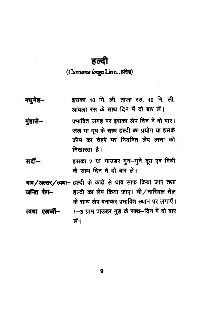# हल्दी

#### (Curcuma longa Linn., हरिद्रा)

| मध्         | इसका 10 मि. ली. ताजा रस, 10 मि. ली.<br>आंवला रस के साथ दिन में दो बार लें।                                                                          |
|-------------|-----------------------------------------------------------------------------------------------------------------------------------------------------|
| मुंहासे—    | प्रभावित जगह पर इसका लेप दिन में दो बार।<br>जल या दूध के साथ हल्दी का प्रयोग या इसके<br>क्रीम का चेहरे पर नियमित लेप त्वचा को<br>निखारता है।        |
| सर्दी–      | इसका 2 ग्रा. पाउडर गुन-गुने दूध एवं मिश्री<br>के साथ दिन में दो बार लें।                                                                            |
| जनित रोग—   | <b>धाव/अल्सर/त्वचा-</b> हल्दी के काढ़े से घाव साफ किया जाए तथा<br>हल्दी का लेप किया जाए। घी/नारियल तेल<br>के साथ लेप बनाकर प्रभावित स्थान पर लगाएँ। |
| त्वचा एलजी– | 1-3 ग्राम पाउडर गुड़ के साथ-दिन में दो बार<br>लें ।                                                                                                 |

 $\mathbf{9}$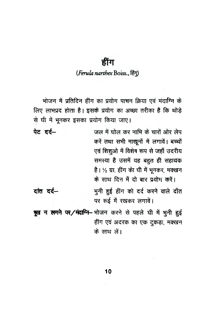#### हींग

#### (Ferula narthex Boiss., हिंगू)

भोजन में प्रतिदिन हींग का प्रयोग पाचन क्रिया एवं मंदाग्नि के लिए लाभप्रद होता है। इसके प्रयोग का अच्छा तरीका है कि थोड़े से घी में भूनकर इसका प्रयोग किया जाए।

| पेट दर्द-  | जल में घोल कर नाभि के चारों ओर लेप                          |
|------------|-------------------------------------------------------------|
|            | करें तथा सभी नाखूनों में लगावें। बच्चों                     |
|            | एवं शिशुओ में विशेष रूप से जहाँ उदरीय                       |
|            | समस्या है उसमें यह बहुत ही सहायक                            |
|            | है। ½ ग्रा. हींग की घी में भूनकर, मक्खन                     |
|            | के साथ दिन में दो बार प्रयोग करें।                          |
| दांत दर्द– | भुनी हुई हींग को दर्द करने वाले दाँत                        |
|            | पर रूई में रखकर लगावें।                                     |
|            | क्र बन समाने पर / मंतानि- भोजन करने से पहले भी में भनी हर्द |

ृहुइ हींग एवं अदरक का एक टुकड़ा, मक्खन के साथ लें।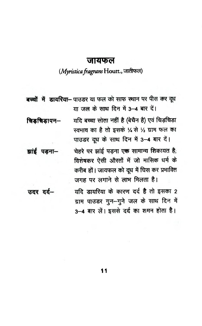#### जायफल

(Myristica fragrans Houtt., जातीफल)

| बच्चों में डायरिया- पाउडर या फल को साफ स्थान पर पीस कर दूध |
|------------------------------------------------------------|
| या जल के साथ दिन में 3-4 बार दें।                          |
| यदि बच्चा सोता नहीं है (बेचैन है) एवं चिड़चिड़ा            |
| स्वभाव का है तो इसके ¼ से ½ ग्राम फल का                    |
| पाउडर दूध के साथ दिन में 3-4 बार दें।                      |
| चेहरे पर झांई पड़ना एक सामान्य शिकायत है;                  |
| विशेषकर ऐसी औरतों में जो मासिक धर्म के                     |
| करीब हों। जायफल को दूध में घिस कर प्रभावित                 |
| जगह पर लगाने से लाभ मिलता है।                              |
| यदि डायरिया के कारण दर्द है तो इसका 2                      |
| ग्राम पाउडर गुन-गुने जल के साथ दिन में                     |
| 3-4 बार लें। इससे दर्द का शमन होता है।                     |
|                                                            |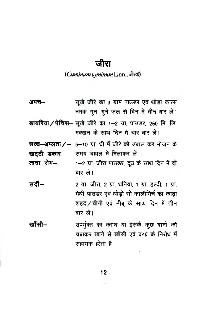# जीरा

# (Cuminum vyminum Linn., जीख)

| अपच–       | सूखे जीरे का 3 ग्राम पाउडर एवं थोड़ा काला<br>नमक गुन-गुने जल से दिन में तीन बार लें।                                                                  |
|------------|-------------------------------------------------------------------------------------------------------------------------------------------------------|
|            | डायरिया / पेचिस- सूखे जीरे का 1-2 ग्रा. पाउडर, 250 मि. लि.<br>मक्खन के साथ दिन में चार बार लें।                                                       |
| खट्टी डकार | <b>उच्च-अम्लता / --</b> 5–10 ग्रा. घी में जीरे को उबाल कर भोजन के<br>समय चावल में मिलाकर लें।                                                         |
| त्वचा रोग- | 1-2 ग्रा. जीरा पाउडर, दूध के साथ दिन में दो<br>बार लें।                                                                                               |
| सर्दी–     | 2 ग्रा. जीरा, 2 ग्रा. धनिया, 1 ग्रा. हल्दी, 1 ग्रा.<br>मेथी पाउडर एवं थोड़ी सी कालीमिर्च का काढ़ा<br>शहद/चीनी एवं नीबू के साथ दिन में तीन<br>बार लें। |
| खोंसी–     | उपर्युक्त का क्वाथ या इसके कुछ दानों को<br>चबाकर खाने से खाँसी एवं कफ के निरोध में<br>सहायक होता है।                                                  |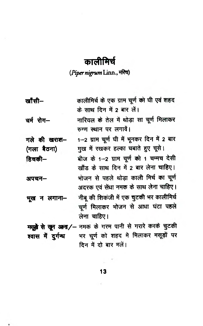#### कालीमिर्च

(Piper nigrum Linn., मरिच)

कालीमिर्च के एक ग्राम चूर्ण को घी एवं शहद खौंसी– के साथ दिन में 2 बार लें। नारियल के तेल में थोड़ा सा चूर्ण मिलाकर चर्म रोग-रुग्ण स्थान पर लगावें। 1-2 ग्राम चूर्ण घी में भूनकर दिन में 2 बार गले की खराश– (गला बैठना) मुख में रखकर हल्का चबाते हुए चूसे। बीज के 1-2 ग्राम चूर्ण को 1 चम्मच देसी हिचकी— खाँड के साथ दिन में 2 बार लेना चाहिए। भोजन से पहले थोड़ा काली मिर्च का चूर्ण अपचन— अदरक एवं सेंधा नमक के साथ लेना चाहिए। नीबू की शिकजी में एक चुटकी भर कालीमिर्च भूख न लगाना-चूर्ण मिलाकर भोजन से आधा घंटा पहले लेना चाहिए। मसूड़ों से खून आना/- नमक के गरम पानी से गरारे करके चुटकी भर चूर्ण को शहद मे मिलाकर मसूड़ों पर श्वास में दुर्गन्ध

दिन में दो बार मलें।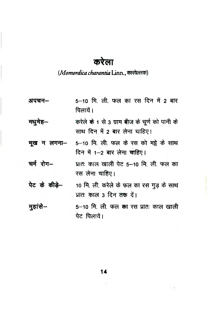#### करेला

#### (Momordica charantia Linn., कारवेल्लक)

| अपचन–         | 5–10 मि. ली. फल का रस दिन में 2 बार<br>पिलायें ।                               |
|---------------|--------------------------------------------------------------------------------|
| मधुमेह—       | करेले के 1 से 3 ग्राम बीज के चूर्ण को पानी के<br>साथ दिन में 2 बार लेना चाहिए। |
| भूख न लगना–   | 5-10 मि. ली. फल के रस को मट्ठे के साथ<br>दिन में 1-2 बार लेना चाहिए।           |
| चर्म रोग–     | प्रातः काल खाली पेट 5–10 मि. ली. फल का<br>रस लेना चाहिए।                       |
| पेट के कीड़े— | 10 मि. ली. करेले के फल का रस गुड़ के साथ<br>प्रातः काल 3 दिन तक दें।           |
| मुहांसे–      | 5–10 मि. ली. फल का रस प्रांतः काल खाली<br>पेट पिलायें।                         |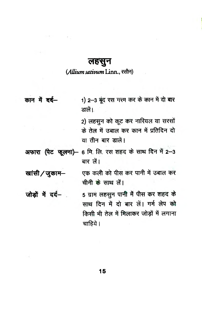#### लहसून

#### (Allium sativum Linn., रसौन)

कान में दर्द-1) 2-3 बूंद रस गरम कर के कान में दो बार <u> दालें।</u> 2) लहसून को कूट कर नारियल या सरसों के तेल में उबाल कर कान में प्रतिदिन दो या तीन बार डालें। अफारा (पेट फूलना)- 6 मि. लि. रस शहद के साथ दिन में 2-3 बार लें। एक कली को पीस कर पानी में उबाल कर खांसी / जुकाम--चीनी के साथ लें। जोड़ों में दर्द-5 ग्राम लहसून पानी में पीस कर शहद के साथ दिन में दो बार लें। गर्म लेप को किसी भी तेल में मिलाकर जोड़ों में लगाना चाहिये ।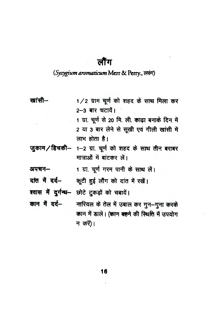## लौंग

#### (Syzygium aromaticum Merr & Perry., लवंग)

| खास            | 1/2 ग्राम चूर्ण को शहद के साथ मिला कर                |
|----------------|------------------------------------------------------|
|                | 2–3 बार चटायें।                                      |
|                | 1 ग्रा. चूर्ण से 20 मि. ली. काढ़ा बनाके दिन में      |
|                | 2 या 3 बार लेने से सूखी एवं गीली खांसी में           |
|                | लाभ होता है।                                         |
|                | जुकाम/हिचकी- 1-2 ग्रा. चूर्ण को शहद के साथ तीन बराबर |
|                | मात्राओं में बांटकर लें।                             |
| अपचन–          | 1 ग्रा. चूर्ण गरम पानी के साथ लें।                   |
| दांत में दर्द- | कूटी हुई लौंग को दांत में रखें।                      |
|                | श्वास में दुर्गन्ध- छोटे टुकड़ों को चबायें।          |
| कान में दर्द-  | नारियल के तेल में उबाल कर गुन–गुना करके              |
|                | कान में डालें। (कान बहने की स्थिति में उपयोग         |
|                | न करें)।                                             |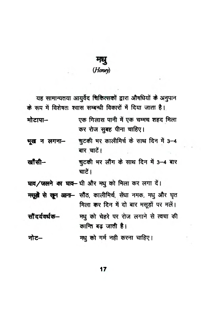#### मध् (Honey)

यह सामान्यतया आयुर्वेद चिकित्सकों द्वारा औषधियों के अनुपान के रूप में विशेषतः श्वास सम्बन्धी विकारों में दिया जाता है।

- मोटापा– एक गिलास पानी में एक चम्मच शहद मिला कर रोज सुबह पीना चाहिए।
- चटकी भर कालीमिर्च के साथ दिन में 3-4 मूख न लगना-बार चाटें।
- खोंसी– चूटकी भर लौंग के साथ दिन में 3-4 बार चाटें।

घाव/जलने का घाव-धी और मधु को मिला कर लगा दें।

- मसूड़ों से खून आना- सौंठ, कालीमिर्च, सेंधा नमक, मधु और घृत मिला कर दिन में दो बार मसूड़ों पर मलें। सौंदर्यवर्धक— मधु को चेहरे पर रोज लगाने से त्वचा की कान्ति बढ जाती है।
- मधु को गर्म नही करना चाहिए। नोट—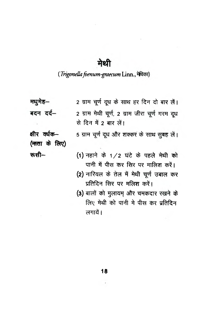# मेथी

# (*Trigonella foenum-graecum* Linn., मेथिका)

| मधुमेह—                        | 2 ग्राम चूर्ण दूध के साथ हर दिन दो बार लें।                                                                                                                                                                                                        |
|--------------------------------|----------------------------------------------------------------------------------------------------------------------------------------------------------------------------------------------------------------------------------------------------|
| बदन दर्द-                      | 2 ग्राम मेथी चूर्ण, 2 ग्राम जीरा चूर्ण गरम दुध<br>से दिन में 2 बार लें।                                                                                                                                                                            |
| क्षीर वर्धक--<br>(माता के लिए) | 5 ग्राम चूर्ण दूध और शक्कर के साथ सुबह लें।                                                                                                                                                                                                        |
| रूसी–                          | $(1)$ नहाने के 1/2 घंटे के पहले मेथी को<br>पानी में पीस कर सिर पर मालिश करें।<br>(2) नारियल के तेल में मेथी चूर्ण उबाल कर<br>प्रतिदिन सिर पर मलिश करें।<br>(3) बालों को मुलायम और चमकदार रखने के<br>लिए मेथी को पानी मे पीस कर प्रतिदिन<br>लगायें। |
|                                |                                                                                                                                                                                                                                                    |

 $\cdot$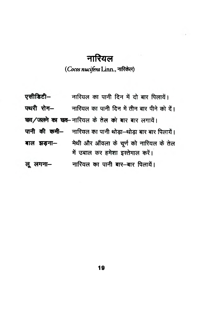### नारियल

(Cocos nucifera Linn., नारिकेल)

| एसीडिटी-   | नारियल का पानी दिन में दो बार पिलायें।                                      |
|------------|-----------------------------------------------------------------------------|
| पथरी रोग—  | नारियल का पानी दिन में तीन बार पीने को दें।                                 |
|            | घाव/जलने का घाव-नारियल के तेल को बार बार लगायें।                            |
|            | पानी की कमी- नारियल का पानी थोड़ा-थोड़ा बार बार पिलायें।                    |
| बाल झड़ना– | मेथी और आँवला के चूर्ण को नारियल के तेल<br>में उबाल कर हमेशा इस्तेमाल करें। |
| लू लगना–   | नारियल का पानी बार-बार पिलायें।                                             |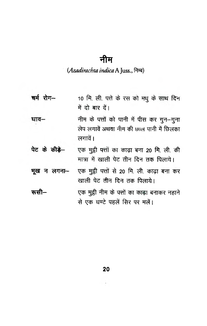#### नीम

#### (Azadirachta indica A Juss., निम्ब)

| चर्म रोग-     | 10 मि. ली. पत्ते के रस को मधु के साथ दिन<br>में दो बार दें।                                       |
|---------------|---------------------------------------------------------------------------------------------------|
| घाव–          | नीम के पत्तों को पानी में पीस कर गुन-गुना<br>लेप लगावें अथवा नीम की छाल पानी में छिलका<br>लगावें। |
| पेट के कीड़े- | एक मुट्ठी पत्तों का काढ़ा बना 20 मि. ली. की<br>मात्रा में खाली पेट तीन दिन तक पिलाये।             |
| भूख न लगना--  | एक मुट्ठी पत्तों से 20 मि. ली. काढ़ा बना कर<br>खाली पेट तीन दिन तक पिलाये।                        |
| रूसी–         | एक मुट्ठी नीम के पत्तों का काढ़ा बनाकर नहाने<br>से एक घण्टे पहलें सिर पर मलें।                    |

 $\sim$   $\sim$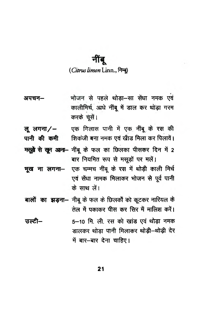#### नींब

#### (Citrus limon Linn., निम्ब)

- भोजन से पहले थोड़ा-सा सेंधा नमक एवं अपचन-कालीमिर्च, आधे नींब में डाल कर थोड़ा गरम करके चुसें। एक गिलास पानी में एक नींबू के रस की ल् लगना $/$ – शिकंजी बना नमक एवं खाँड मिला कर पिलावें। पानी की कमी मसुड़ों से खून आना- नींबू के फल का छिलका पीसकर दिन में 2
- बार नियमित रूप से मसूड़ों पर मलें।
- एक चम्मच नींबू के रस में थोड़ी काली मिर्च भूख ना लगना-एवं सेंधा नामक मिलाकर भोजन से पूर्व पानी के साथ लें।
- बालों का झड़ना- नीब के फल के छिलकों को कटकर नारियल के तेल में पकाकर पीस कर सिर में मालिश करें। 5–10 मि. ली. रस को खांड एवं थोड़ा नमक सल्टी– डालकर थोडा पानी मिलाकर थोडी-थोडी देर में बार-बार देना चाहिए।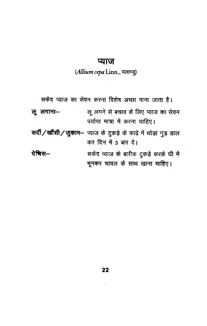#### प्याज

#### (Allium cepa Linn., पलाण्डु)

|           | सफेद प्याज का सेवन करना विशेष अच्छा माना जाता है।                  |
|-----------|--------------------------------------------------------------------|
| लू लगाना- | लू लगने से बचाव के लिए प्याज का सेवन                               |
|           | पर्याप्त मात्रा में करना चाहिए।                                    |
|           | सर्दी / खाँसी / जुकाम- प्याज के टुकड़े के काढ़े में थोड़ा गुड़ डाल |
|           | कर दिन में 3 बार दें।                                              |
| पेचिस—    | सफेद प्याज के बारीक टुकड़े करके घी में                             |
|           | भूनकर चावल के साथ खाना चाहिए।                                      |

 $22$ 

 $\sim$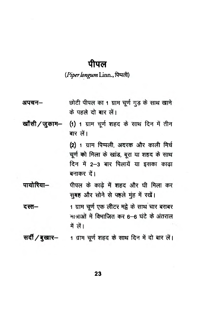### पीपल

### (Piper longum Linn., पिप्पली)

| अपचन–          | छोटी पीपल का 1 ग्राम चूर्ण गुड़ के साथ खाने<br>के पहले दो बार लें।                                                                          |
|----------------|---------------------------------------------------------------------------------------------------------------------------------------------|
|                | खाँसी/जुकाम- (1) 1 ग्राम चूर्ण शहद के साथ दिन में तीन<br>बार लें।                                                                           |
|                | (2) 1 ग्राम पिप्पली, अदरक और काली मिर्च<br>चूर्ण को मिला के खांड, बूरा या शहद के साथ<br>दिन में 2-3 बार पिलायें या इसका काढ़ा<br>बनाकर दें। |
| पायोरिया-      | पीपल के काढ़े में शहद और घी मिला कर<br>सुबह और सोने से पहले मुंह में रखें।                                                                  |
| दस्त—          | 1 ग्राम चूर्ण एक लीटर मट्ठे के साथ चार बराबर<br>मात्राओं में विभाजित कर 6-6 घंटे के अंतराल<br>में लें।                                      |
| सर्दी / बुखार– | 1 ग्राम चूर्ण शहद के साथ दिन में दो बार लें।                                                                                                |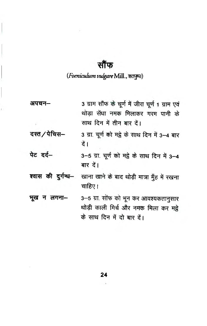#### सौंफ

#### (Foeniculum vulgare Mill., शतपुष्पा)

| अपचन–                | 3 ग्राम सौंफ के चूर्ण में जीरा चूर्ण 1 ग्राम एवं<br>थोड़ा सेंधा नमक मिलाकर गरम पानी के                         |
|----------------------|----------------------------------------------------------------------------------------------------------------|
|                      | साथ दिन में तीन बार दें।                                                                                       |
| दस्त $\angle$ पेचिस– | 3 ग्रा. चूर्ण को मट्ठे के साथ दिन में 3-4 बार<br>ਵੇਂ ।                                                         |
| पेट दर्द-            | 3-5 ग्रा. चूर्ण को मड्ठे के साथ दिन में 3-4<br>बार दें।                                                        |
| श्वास की दुर्गन्ध—   | खाना खाने के बाद थोड़ी मात्रा मुँह में रखना<br>चाहिए ।                                                         |
| भूख न लगना-          | 3–5 ग्रा. सोंफ को भून कर आवश्यकतानुसार<br>थोड़ी काली मिर्च और नमक मिला कर मुट्ठे<br>के साथ दिन में दो बार दें। |

 $24$ o la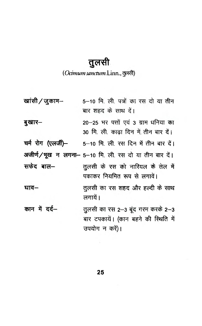# **तुलसी**<br>(*Ocimum sanctum.*Linn., तुलसी)

| खांसी / जुकाम–   | 5–10 मि. ली. पत्रों का रस दो या तीन<br>बार शहद के साथ दें।                                  |
|------------------|---------------------------------------------------------------------------------------------|
| बुखार–           | 20–25 भर पत्तों एवं 3 ग्राम धनिया का<br>30 मि. ली. काढ़ा दिन में तीन बार दें।               |
| चर्म रोग (एलजी)- | 5-10 मि. ली. रस दिन में तीन बार दें।                                                        |
|                  | अजीर्ण/भूख न लगना- 5-10 मि. ली. रस दो या तीन बार दें।                                       |
| सफेद बाल—        | तुलसी के रस को नारियल के तेल में<br>पकाकर नियमित रूप से लगावें।                             |
| घाव–             | तुलसी का रस शहद और हल्दी के साथ<br>लगायें।                                                  |
| कान में दर्द–    | तुलसी का रस 2–3 बूंद गरम करके 2–3<br>बार टपकायें। (कान बहने की स्थिति में<br>उपयोग न करें)। |